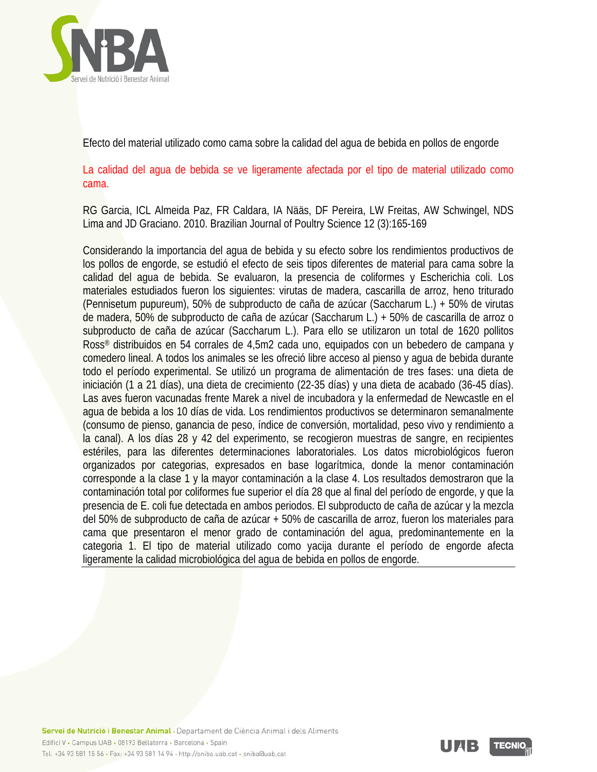

Efecto del material utilizado como cama sobre la calidad del agua de bebida en pollos de engorde

La calidad del agua de bebida se ve ligeramente afectada por el tipo de material utilizado como cama.

RG Garcia, ICL Almeida Paz, FR Caldara, IA Nääs, DF Pereira, LW Freitas, AW Schwingel, NDS Lima and JD Graciano. 2010. Brazilian Journal of Poultry Science 12 (3):165-169

Considerando la importancia del agua de bebida y su efecto sobre los rendimientos productivos de los pollos de engorde, se estudió el efecto de seis tipos diferentes de material para cama sobre la calidad del agua de bebida. Se evaluaron, la presencia de coliformes y Escherichia coli. Los materiales estudiados fueron los siguientes: virutas de madera, cascarilla de arroz, heno triturado (Pennisetum pupureum), 50% de subproducto de caña de azúcar (Saccharum L.) + 50% de virutas de madera, 50% de subproducto de caña de azúcar (Saccharum L.) + 50% de cascarilla de arroz o subproducto de caña de azúcar (Saccharum L.). Para ello se utilizaron un total de 1620 pollitos Ross® distribuidos en 54 corrales de 4,5m2 cada uno, equipados con un bebedero de campana y comedero lineal. A todos los animales se les ofreció libre acceso al pienso y agua de bebida durante todo el período experimental. Se utilizó un programa de alimentación de tres fases: una dieta de iniciación (1 a 21 días), una dieta de crecimiento (22-35 días) y una dieta de acabado (36-45 días). Las aves fueron vacunadas frente Marek a nivel de incubadora y la enfermedad de Newcastle en el agua de bebida a los 10 días de vida. Los rendimientos productivos se determinaron semanalmente (consumo de pienso, ganancia de peso, índice de conversión, mortalidad, peso vivo y rendimiento a la canal). A los días 28 y 42 del experimento, se recogieron muestras de sangre, en recipientes estériles, para las diferentes determinaciones laboratoriales. Los datos microbiológicos fueron organizados por categorias, expresados en base logarítmica, donde la menor contaminación corresponde a la clase 1 y la mayor contaminación a la clase 4. Los resultados demostraron que la contaminación total por coliformes fue superior el día 28 que al final del período de engorde, y que la presencia de E. coli fue detectada en ambos periodos. El subproducto de caña de azúcar y la mezcla del 50% de subproducto de caña de azúcar + 50% de cascarilla de arroz, fueron los materiales para cama que presentaron el menor grado de contaminación del agua, predominantemente en la categoria 1. El tipo de material utilizado como yacija durante el período de engorde afecta ligeramente la calidad microbiológica del agua de bebida en pollos de engorde.